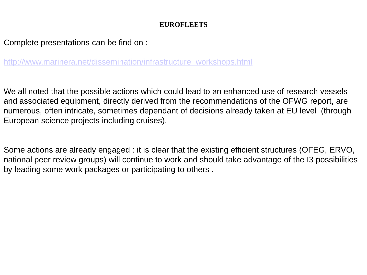#### **EUROFLEETS**

Complete presentations can be find on :

[http://www.marinera.net/dissemination/infrastructure\\_workshops.html](http://www.marinera.net/dissemination/infrastructure_workshops.html)

We all noted that the possible actions which could lead to an enhanced use of research vessels and associated equipment, directly derived from the recommendations of the OFWG report, are numerous, often intricate, sometimes dependant of decisions already taken at EU level (through European science projects including cruises).

Some actions are already engaged : it is clear that the existing efficient structures (OFEG, ERVO, national peer review groups) will continue to work and should take advantage of the I3 possibilities by leading some work packages or participating to others .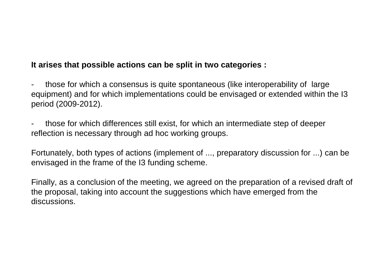### **It arises that possible actions can be split in two categories :**

those for which a consensus is quite spontaneous (like interoperability of large equipment) and for which implementations could be envisaged or extended within the I3 period (2009-2012).

- those for which differences still exist, for which an intermediate step of deeper reflection is necessary through ad hoc working groups.

Fortunately, both types of actions (implement of ..., preparatory discussion for ...) can be envisaged in the frame of the I3 funding scheme.

Finally, as a conclusion of the meeting, we agreed on the preparation of a revised draft of the proposal, taking into account the suggestions which have emerged from the discussions.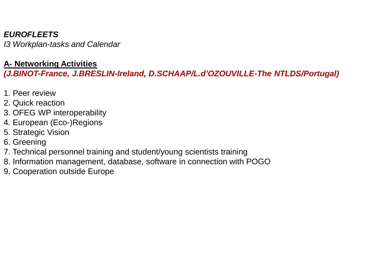# *EUROFLEETS*

*I3 Workplan-tasks and Calendar*

## **A- Networking Activities**

*(J.BINOT-France, J.BRESLIN-Ireland, D.SCHAAP/L.d'OZOUVILLE-The NTLDS/Portugal)*

- 1. Peer review
- 2. Quick reaction
- 3. OFEG WP interoperability
- 4. European (Eco-)Regions
- 5. Strategic Vision
- 6. Greening
- 7. Technical personnel training and student/young scientists training
- 8. Information management, database, software in connection with POGO
- 9. Cooperation outside Europe